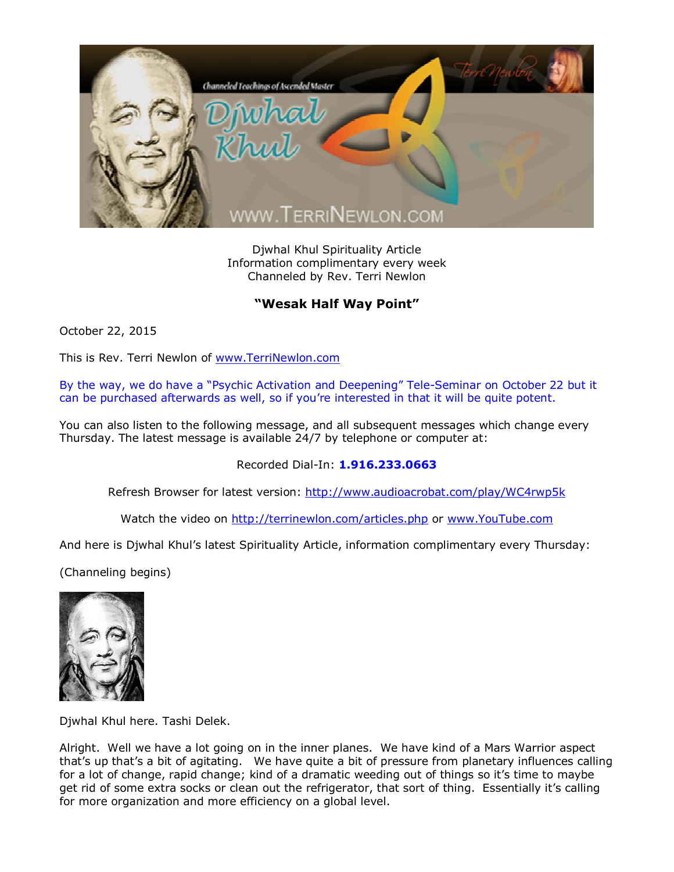

Djwhal Khul Spirituality Article Information complimentary every week Channeled by Rev. Terri Newlon

## **"Wesak Half Way Point"**

October 22, 2015

This is Rev. Terri Newlon of [www.TerriNewlon.com](http://www.terrinewlon.com/)

By the way, we do have a "Psychic Activation and Deepening" Tele-Seminar on October 22 but it can be purchased afterwards as well, so if you're interested in that it will be quite potent.

You can also listen to the following message, and all subsequent messages which change every Thursday. The latest message is available 24/7 by telephone or computer at:

Recorded Dial-In: **1.916.233.0663**

Refresh Browser for latest version: <http://www.audioacrobat.com/play/WC4rwp5k>

Watch the video on <http://terrinewlon.com/articles.php> or [www.YouTube.com](http://www.youtube.com/)

And here is Djwhal Khul's latest Spirituality Article, information complimentary every Thursday:

(Channeling begins)



Djwhal Khul here. Tashi Delek.

Alright. Well we have a lot going on in the inner planes. We have kind of a Mars Warrior aspect that's up that's a bit of agitating. We have quite a bit of pressure from planetary influences calling for a lot of change, rapid change; kind of a dramatic weeding out of things so it's time to maybe get rid of some extra socks or clean out the refrigerator, that sort of thing. Essentially it's calling for more organization and more efficiency on a global level.